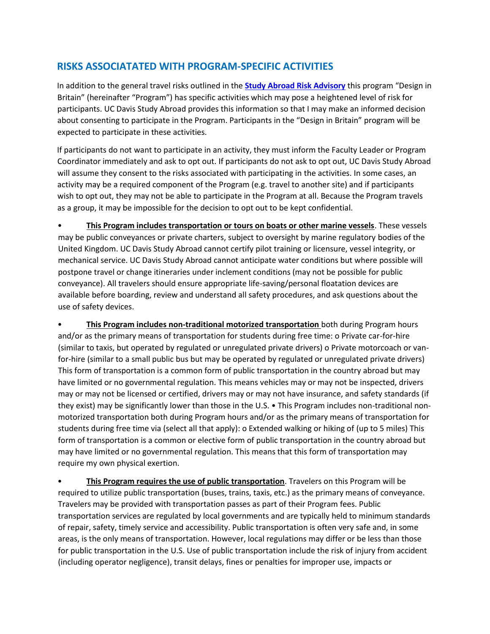## **RISKS ASSOCIATATED WITH PROGRAM-SPECIFIC ACTIVITIES**

In addition to the general travel risks outlined in the **[Study Abroad Risk Advisory](http://studyabroad.ucdavis.edu/students/healthandsafety_risk.html)** this program "Design in Britain" (hereinafter "Program") has specific activities which may pose a heightened level of risk for participants. UC Davis Study Abroad provides this information so that I may make an informed decision about consenting to participate in the Program. Participants in the "Design in Britain" program will be expected to participate in these activities.

If participants do not want to participate in an activity, they must inform the Faculty Leader or Program Coordinator immediately and ask to opt out. If participants do not ask to opt out, UC Davis Study Abroad will assume they consent to the risks associated with participating in the activities. In some cases, an activity may be a required component of the Program (e.g. travel to another site) and if participants wish to opt out, they may not be able to participate in the Program at all. Because the Program travels as a group, it may be impossible for the decision to opt out to be kept confidential.

• **This Program includes transportation or tours on boats or other marine vessels**. These vessels may be public conveyances or private charters, subject to oversight by marine regulatory bodies of the United Kingdom. UC Davis Study Abroad cannot certify pilot training or licensure, vessel integrity, or mechanical service. UC Davis Study Abroad cannot anticipate water conditions but where possible will postpone travel or change itineraries under inclement conditions (may not be possible for public conveyance). All travelers should ensure appropriate life-saving/personal floatation devices are available before boarding, review and understand all safety procedures, and ask questions about the use of safety devices.

• **This Program includes non-traditional motorized transportation** both during Program hours and/or as the primary means of transportation for students during free time: o Private car-for-hire (similar to taxis, but operated by regulated or unregulated private drivers) o Private motorcoach or vanfor-hire (similar to a small public bus but may be operated by regulated or unregulated private drivers) This form of transportation is a common form of public transportation in the country abroad but may have limited or no governmental regulation. This means vehicles may or may not be inspected, drivers may or may not be licensed or certified, drivers may or may not have insurance, and safety standards (if they exist) may be significantly lower than those in the U.S. • This Program includes non-traditional nonmotorized transportation both during Program hours and/or as the primary means of transportation for students during free time via (select all that apply): o Extended walking or hiking of (up to 5 miles) This form of transportation is a common or elective form of public transportation in the country abroad but may have limited or no governmental regulation. This means that this form of transportation may require my own physical exertion.

• **This Program requires the use of public transportation**. Travelers on this Program will be required to utilize public transportation (buses, trains, taxis, etc.) as the primary means of conveyance. Travelers may be provided with transportation passes as part of their Program fees. Public transportation services are regulated by local governments and are typically held to minimum standards of repair, safety, timely service and accessibility. Public transportation is often very safe and, in some areas, is the only means of transportation. However, local regulations may differ or be less than those for public transportation in the U.S. Use of public transportation include the risk of injury from accident (including operator negligence), transit delays, fines or penalties for improper use, impacts or